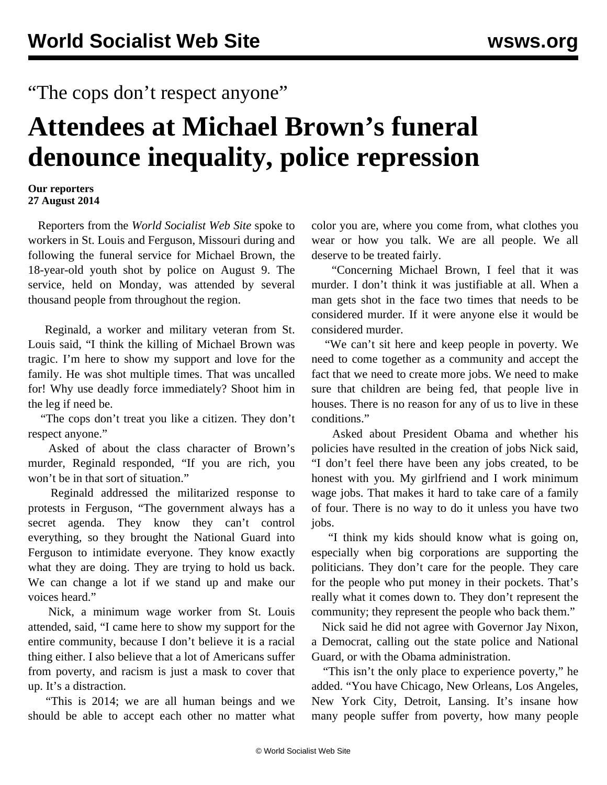## "The cops don't respect anyone"

## **Attendees at Michael Brown's funeral denounce inequality, police repression**

## **Our reporters 27 August 2014**

 Reporters from the *World Socialist Web Site* spoke to workers in St. Louis and Ferguson, Missouri during and following the [funeral](/en/articles/2014/08/26/brow-a26.html) service for Michael Brown, the 18-year-old youth shot by police on August 9. The service, held on Monday, was attended by several thousand people from throughout the region.

 Reginald, a worker and military veteran from St. Louis said, "I think the killing of Michael Brown was tragic. I'm here to show my support and love for the family. He was shot multiple times. That was uncalled for! Why use deadly force immediately? Shoot him in the leg if need be.

 "The cops don't treat you like a citizen. They don't respect anyone."

 Asked of about the class character of Brown's murder, Reginald responded, "If you are rich, you won't be in that sort of situation."

 Reginald addressed the militarized response to protests in Ferguson, "The government always has a secret agenda. They know they can't control everything, so they brought the National Guard into Ferguson to intimidate everyone. They know exactly what they are doing. They are trying to hold us back. We can change a lot if we stand up and make our voices heard."

 Nick, a minimum wage worker from St. Louis attended, said, "I came here to show my support for the entire community, because I don't believe it is a racial thing either. I also believe that a lot of Americans suffer from poverty, and racism is just a mask to cover that up. It's a distraction.

 "This is 2014; we are all human beings and we should be able to accept each other no matter what color you are, where you come from, what clothes you wear or how you talk. We are all people. We all deserve to be treated fairly.

 "Concerning Michael Brown, I feel that it was murder. I don't think it was justifiable at all. When a man gets shot in the face two times that needs to be considered murder. If it were anyone else it would be considered murder.

 "We can't sit here and keep people in poverty. We need to come together as a community and accept the fact that we need to create more jobs. We need to make sure that children are being fed, that people live in houses. There is no reason for any of us to live in these conditions."

 Asked about President Obama and whether his policies have resulted in the creation of jobs Nick said, "I don't feel there have been any jobs created, to be honest with you. My girlfriend and I work minimum wage jobs. That makes it hard to take care of a family of four. There is no way to do it unless you have two jobs.

 "I think my kids should know what is going on, especially when big corporations are supporting the politicians. They don't care for the people. They care for the people who put money in their pockets. That's really what it comes down to. They don't represent the community; they represent the people who back them."

 Nick said he did not agree with Governor Jay Nixon, a Democrat, calling out the state police and National Guard, or with the Obama administration.

 "This isn't the only place to experience poverty," he added. "You have Chicago, New Orleans, Los Angeles, New York City, Detroit, Lansing. It's insane how many people suffer from poverty, how many people